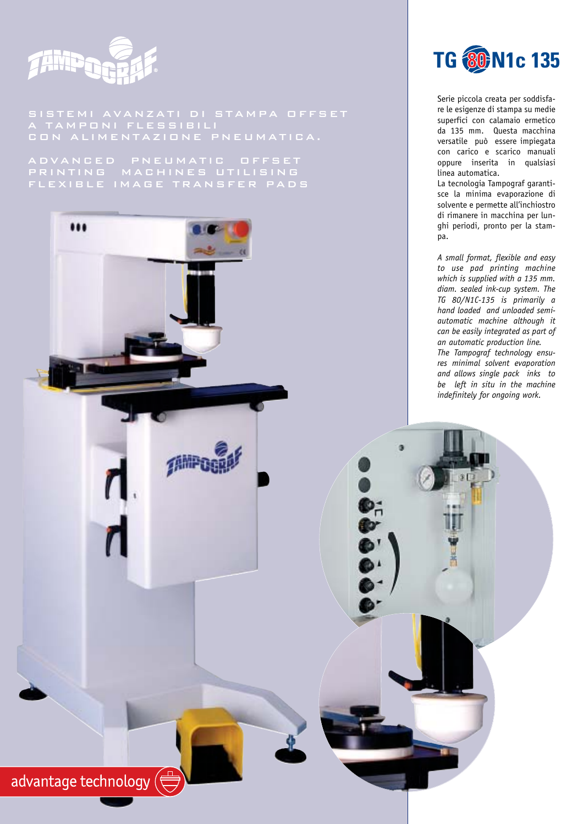

SISTEMI AVANZATI DI STAMPA OFFSET A TAMPONI FLESSIBILI CON ALIMENTAZIONE PNEUMATICA.

PRINTING MACHINES UTILISING FLEXIBLE IMAGE TRANSFER PADS





Serie piccola creata per soddisfare le esigenze di stampa su medie superfici con calamaio ermetico da 135 mm. Questa macchina versatile può essere impiegata con carico e scarico manuali oppure inserita in qualsiasi linea automatica.

La tecnologia Tampograf garantisce la minima evaporazione di solvente e permette all'inchiostro di rimanere in macchina per lunghi periodi, pronto per la stampa.

*A small format, flexible and easy to use pad printing machine which is supplied with a 135 mm. diam. sealed ink-cup system. The TG 80/N1C-135 is primarily a hand loaded and unloaded semiautomatic machine although it can be easily integrated as part of an automatic production line. The Tampograf technology ensures minimal solvent evaporation and allows single pack inks to be left in situ in the machine indefinitely for ongoing work.*

ö

 $\mathbf{D}$